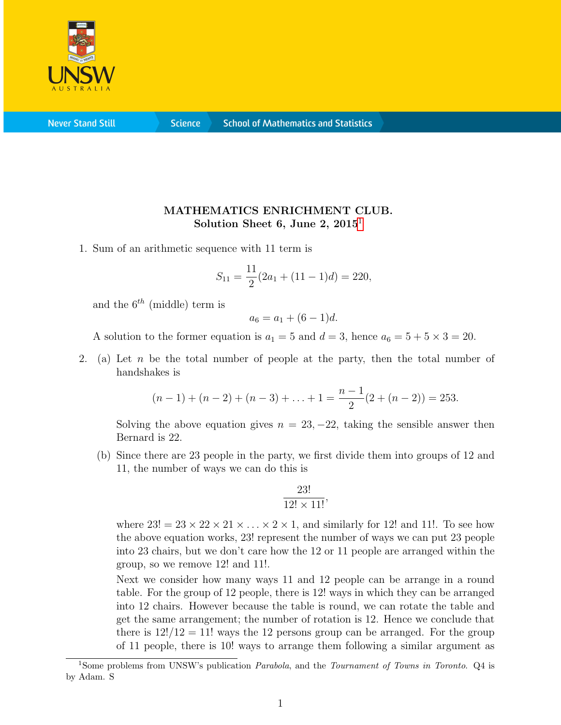

**Never Stand Still** 

**Science** 

## MATHEMATICS ENRICHMENT CLUB. Solution Sheet 6, June 2,  $2015<sup>1</sup>$  $2015<sup>1</sup>$  $2015<sup>1</sup>$

1. Sum of an arithmetic sequence with 11 term is

$$
S_{11} = \frac{11}{2}(2a_1 + (11 - 1)d) = 220,
$$

and the  $6^{th}$  (middle) term is

$$
a_6 = a_1 + (6 - 1)d.
$$

A solution to the former equation is  $a_1 = 5$  and  $d = 3$ , hence  $a_6 = 5 + 5 \times 3 = 20$ .

2. (a) Let n be the total number of people at the party, then the total number of handshakes is

$$
(n-1) + (n-2) + (n-3) + \ldots + 1 = \frac{n-1}{2}(2 + (n-2)) = 253.
$$

Solving the above equation gives  $n = 23, -22$ , taking the sensible answer then Bernard is 22.

(b) Since there are 23 people in the party, we first divide them into groups of 12 and 11, the number of ways we can do this is

$$
\frac{23!}{12! \times 11!},
$$

where  $23! = 23 \times 22 \times 21 \times \ldots \times 2 \times 1$ , and similarly for 12! and 11!. To see how the above equation works, 23! represent the number of ways we can put 23 people into 23 chairs, but we don't care how the 12 or 11 people are arranged within the group, so we remove 12! and 11!.

Next we consider how many ways 11 and 12 people can be arrange in a round table. For the group of 12 people, there is 12! ways in which they can be arranged into 12 chairs. However because the table is round, we can rotate the table and get the same arrangement; the number of rotation is 12. Hence we conclude that there is  $12!/12 = 11!$  ways the 12 persons group can be arranged. For the group of 11 people, there is 10! ways to arrange them following a similar argument as

<span id="page-0-0"></span><sup>&</sup>lt;sup>1</sup>Some problems from UNSW's publication *Parabola*, and the *Tournament of Towns in Toronto*. Q4 is by Adam. S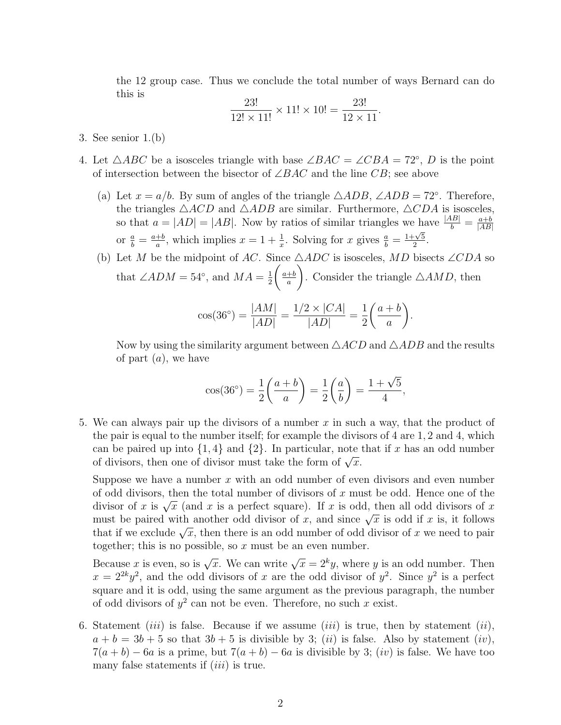the 12 group case. Thus we conclude the total number of ways Bernard can do this is  $\overline{a}$ 

$$
\frac{23!}{12! \times 11!} \times 11! \times 10! = \frac{23!}{12 \times 11}
$$

.

- 3. See senior 1.(b)
- 4. Let  $\triangle ABC$  be a isosceles triangle with base  $\angle BAC = \angle CBA = 72^{\circ}$ , D is the point of intersection between the bisector of  $\angle BAC$  and the line CB; see above
	- (a) Let  $x = a/b$ . By sum of angles of the triangle  $\triangle ADB$ ,  $\angle ADB = 72^\circ$ . Therefore, the triangles  $\triangle ACD$  and  $\triangle ADB$  are similar. Furthermore,  $\triangle CDA$  is isosceles, so that  $a = |AD| = |AB|$ . Now by ratios of similar triangles we have  $\frac{|AB|}{b} = \frac{a+b}{|AB|}$  $|AB|$ or  $\frac{a}{b} = \frac{a+b}{a}$  $\frac{1}{a}$ , which implies  $x = 1 + \frac{1}{x}$ . Solving for x gives  $\frac{a}{b} =$  $1+\sqrt{5}$  $\frac{\sqrt{5}}{2}$ .
	- (b) Let M be the midpoint of AC. Since  $\triangle ADC$  is isosceles, MD bisects ∠CDA so that  $\angle ADM = 54^\circ$ , and  $MA = \frac{1}{2}$ 2  $\int a+b$ a  $\setminus$ . Consider the triangle  $\triangle AMD$ , then

$$
\cos(36^\circ) = \frac{|AM|}{|AD|} = \frac{1/2 \times |CA|}{|AD|} = \frac{1}{2} \left(\frac{a+b}{a}\right).
$$

Now by using the similarity argument between  $\triangle ACD$  and  $\triangle ADB$  and the results of part  $(a)$ , we have

$$
\cos(36^\circ) = \frac{1}{2} \left( \frac{a+b}{a} \right) = \frac{1}{2} \left( \frac{a}{b} \right) = \frac{1+\sqrt{5}}{4},
$$

5. We can always pair up the divisors of a number x in such a way, that the product of the pair is equal to the number itself; for example the divisors of 4 are 1, 2 and 4, which can be paired up into  $\{1,4\}$  and  $\{2\}$ . In particular, note that if x has an odd number can be pared up mo  $\{1, 4\}$  and  $\{2\}$ . In particular, note<br>of divisors, then one of divisor must take the form of  $\sqrt{x}$ .

Suppose we have a number  $x$  with an odd number of even divisors and even number of odd divisors, then the total number of divisors of  $x$  must be odd. Hence one of the of odd divisors, then the total number of divisors of x must be odd. Hence one of the divisors of x is  $\sqrt{x}$  (and x is a perfect square). If x is odd, then all odd divisors of x must be paired with another odd divisor of x, and since  $\sqrt{x}$  is odd if x is, it follows must be paired with another odd divisor of x, and since  $\sqrt{x}$  is odd if x is, it follows that if we exclude  $\sqrt{x}$ , then there is an odd number of odd divisor of x we need to pair together; this is no possible, so  $x$  must be an even number.

Because x is even, so is  $\sqrt{x}$ . We can write  $\sqrt{x} = 2^k y$ , where y is an odd number. Then  $x = 2^{2k}y^2$ , and the odd divisors of x are the odd divisor of  $y^2$ . Since  $y^2$  is a perfect square and it is odd, using the same argument as the previous paragraph, the number of odd divisors of  $y^2$  can not be even. Therefore, no such x exist.

6. Statement *(iii)* is false. Because if we assume *(iii)* is true, then by statement *(ii)*,  $a + b = 3b + 5$  so that  $3b + 5$  is divisible by 3; (ii) is false. Also by statement (iv),  $7(a + b) - 6a$  is a prime, but  $7(a + b) - 6a$  is divisible by 3; (iv) is false. We have too many false statements if  $(iii)$  is true.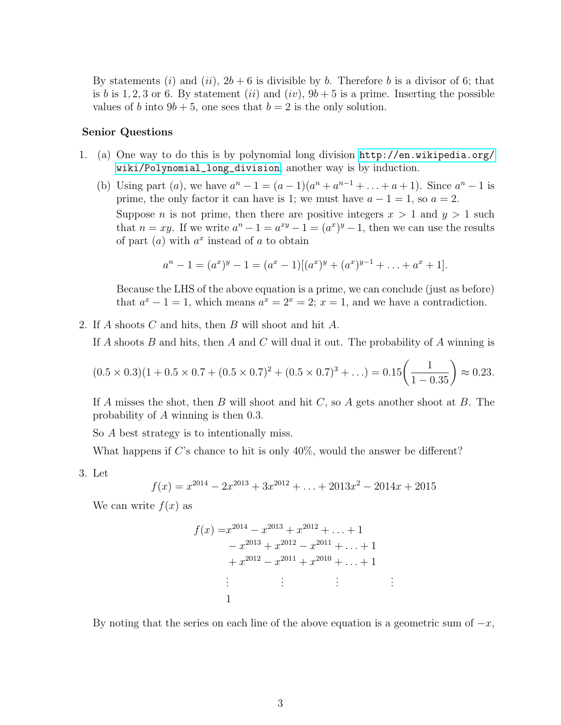By statements (i) and (ii),  $2b + 6$  is divisible by b. Therefore b is a divisor of 6; that is b is 1, 2, 3 or 6. By statement (ii) and (iv),  $9b + 5$  is a prime. Inserting the possible values of b into  $9b + 5$ , one sees that  $b = 2$  is the only solution.

## Senior Questions

- 1. (a) One way to do this is by polynomial long division [http://en.wikipedia.org/](http://en.wikipedia.org/wiki/Polynomial_long_division) [wiki/Polynomial\\_long\\_division](http://en.wikipedia.org/wiki/Polynomial_long_division), another way is by induction.
	- (b) Using part (a), we have  $a^{n} 1 = (a 1)(a^{n} + a^{n-1} + ... + a + 1)$ . Since  $a^{n} 1$  is prime, the only factor it can have is 1; we must have  $a - 1 = 1$ , so  $a = 2$ . Suppose *n* is not prime, then there are positive integers  $x > 1$  and  $y > 1$  such that  $n = xy$ . If we write  $a^n - 1 = a^{xy} - 1 = (a^x)^y - 1$ , then we can use the results of part  $(a)$  with  $a^x$  instead of a to obtain

$$
a^{n} - 1 = (a^{x})^{y} - 1 = (a^{x} - 1)[(a^{x})^{y} + (a^{x})^{y-1} + \ldots + a^{x} + 1].
$$

Because the LHS of the above equation is a prime, we can conclude (just as before) that  $a^x - 1 = 1$ , which means  $a^x = 2^x = 2$ ;  $x = 1$ , and we have a contradiction.

2. If A shoots C and hits, then B will shoot and hit A.

If A shoots B and hits, then A and C will dual it out. The probability of A winning is

$$
(0.5 \times 0.3)(1 + 0.5 \times 0.7 + (0.5 \times 0.7)^2 + (0.5 \times 0.7)^3 + ...) = 0.15 \left(\frac{1}{1 - 0.35}\right) \approx 0.23.
$$

If A misses the shot, then B will shoot and hit  $C$ , so A gets another shoot at B. The probability of A winning is then 0.3.

So A best strategy is to intentionally miss.

What happens if C's chance to hit is only  $40\%$ , would the answer be different?

3. Let

$$
f(x) = x^{2014} - 2x^{2013} + 3x^{2012} + \dots + 2013x^2 - 2014x + 2015
$$

We can write  $f(x)$  as

$$
f(x) = x^{2014} - x^{2013} + x^{2012} + \dots + 1
$$
  
\n
$$
- x^{2013} + x^{2012} - x^{2011} + \dots + 1
$$
  
\n
$$
+ x^{2012} - x^{2011} + x^{2010} + \dots + 1
$$
  
\n
$$
\vdots \qquad \vdots \qquad \vdots \qquad \vdots
$$
  
\n1

By noting that the series on each line of the above equation is a geometric sum of  $-x$ ,